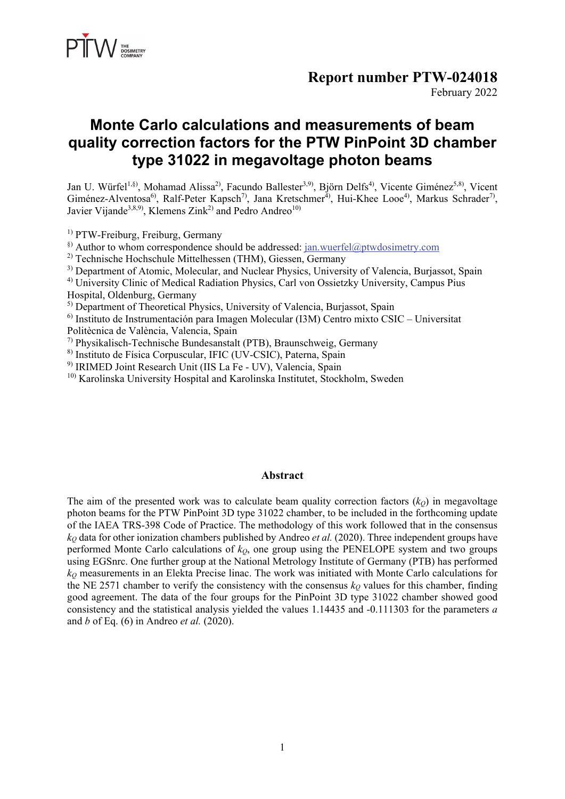

### **Report number PTW-024018**

February 2022

## **Monte Carlo calculations and measurements of beam quality correction factors for the PTW PinPoint 3D chamber type 31022 in megavoltage photon beams**

Jan U. Würfel<sup>1,§)</sup>, Mohamad Alissa<sup>2)</sup>, Facundo Ballester<sup>3,9)</sup>, Björn Delfs<sup>4)</sup>, Vicente Giménez<sup>5,8)</sup>, Vicent Giménez-Alventosa<sup>6)</sup>, Ralf-Peter Kapsch<sup>7)</sup>, Jana Kretschmer<sup>4)</sup>, Hui-Khee Looe<sup>4)</sup>, Markus Schrader<sup>7)</sup>, Javier Vijande<sup>3,8,9)</sup>, Klemens Zink<sup>2)</sup> and Pedro Andreo<sup>10)</sup>

<sup>1)</sup> PTW-Freiburg, Freiburg, Germany

§) Author to whom correspondence should be addressed: jan.wuerfel@ptwdosimetry.com

<sup>2)</sup> Technische Hochschule Mittelhessen (THM), Giessen, Germany

<sup>3)</sup> Department of Atomic, Molecular, and Nuclear Physics, University of Valencia, Burjassot, Spain

4) University Clinic of Medical Radiation Physics, Carl von Ossietzky University, Campus Pius Hospital, Oldenburg, Germany

<sup>5)</sup> Department of Theoretical Physics, University of Valencia, Burjassot, Spain

 $6)$  Instituto de Instrumentación para Imagen Molecular (I3M) Centro mixto CSIC – Universitat Politècnica de València, Valencia, Spain

7) Physikalisch-Technische Bundesanstalt (PTB), Braunschweig, Germany

8) Instituto de Física Corpuscular, IFIC (UV-CSIC), Paterna, Spain

<sup>9)</sup> IRIMED Joint Research Unit (IIS La Fe - UV), Valencia, Spain

10) Karolinska University Hospital and Karolinska Institutet, Stockholm, Sweden

#### **Abstract**

The aim of the presented work was to calculate beam quality correction factors  $(k<sub>Q</sub>)$  in megavoltage photon beams for the PTW PinPoint 3D type 31022 chamber, to be included in the forthcoming update of the IAEA TRS-398 Code of Practice. The methodology of this work followed that in the consensus  $k<sub>Q</sub>$  data for other ionization chambers published by Andreo *et al.* (2020). Three independent groups have performed Monte Carlo calculations of  $k<sub>0</sub>$ , one group using the PENELOPE system and two groups using EGSnrc. One further group at the National Metrology Institute of Germany (PTB) has performed *kQ* measurements in an Elekta Precise linac. The work was initiated with Monte Carlo calculations for the NE 2571 chamber to verify the consistency with the consensus  $k_Q$  values for this chamber, finding good agreement. The data of the four groups for the PinPoint 3D type 31022 chamber showed good consistency and the statistical analysis yielded the values 1.14435 and -0.111303 for the parameters *a* and *b* of Eq. (6) in Andreo *et al.* (2020).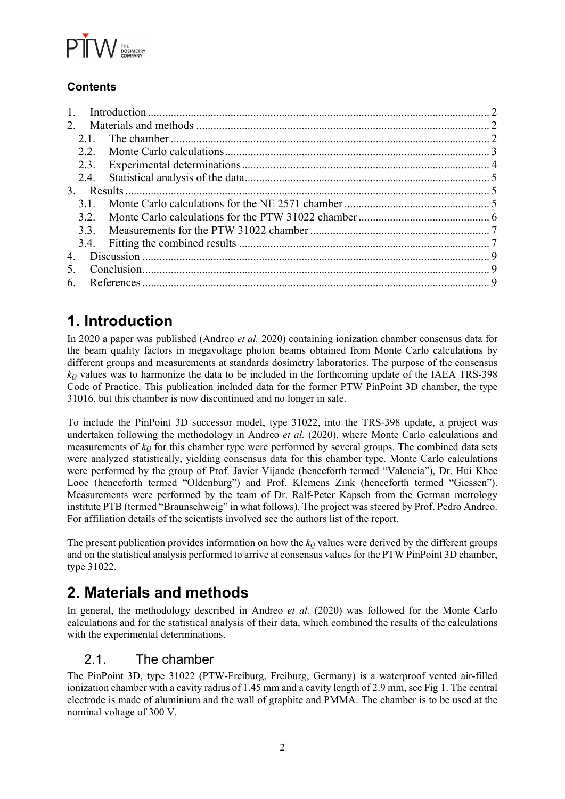

## **Contents**

| $2^{+}$        |  |
|----------------|--|
| 2.1            |  |
| 2.2            |  |
| 2.3.           |  |
| 2.4.           |  |
| 3 <sub>1</sub> |  |
| 31             |  |
| 3.2.           |  |
| 3.3.           |  |
|                |  |
| 4.             |  |
| 5.             |  |
| 6.             |  |

# **1. Introduction**

In 2020 a paper was published (Andreo *et al.* 2020) containing ionization chamber consensus data for the beam quality factors in megavoltage photon beams obtained from Monte Carlo calculations by different groups and measurements at standards dosimetry laboratories. The purpose of the consensus *kQ* values was to harmonize the data to be included in the forthcoming update of the IAEA TRS-398 Code of Practice. This publication included data for the former PTW PinPoint 3D chamber, the type 31016, but this chamber is now discontinued and no longer in sale.

To include the PinPoint 3D successor model, type 31022, into the TRS-398 update, a project was undertaken following the methodology in Andreo *et al.* (2020), where Monte Carlo calculations and measurements of *kQ* for this chamber type were performed by several groups. The combined data sets were analyzed statistically, yielding consensus data for this chamber type. Monte Carlo calculations were performed by the group of Prof. Javier Vijande (henceforth termed "Valencia"), Dr. Hui Khee Looe (henceforth termed "Oldenburg") and Prof. Klemens Zink (henceforth termed "Giessen"). Measurements were performed by the team of Dr. Ralf-Peter Kapsch from the German metrology institute PTB (termed "Braunschweig" in what follows). The project was steered by Prof. Pedro Andreo. For affiliation details of the scientists involved see the authors list of the report.

The present publication provides information on how the  $k<sub>O</sub>$  values were derived by the different groups and on the statistical analysis performed to arrive at consensus values for the PTW PinPoint 3D chamber, type 31022.

## **2. Materials and methods**

In general, the methodology described in Andreo *et al.* (2020) was followed for the Monte Carlo calculations and for the statistical analysis of their data, which combined the results of the calculations with the experimental determinations.

## 2.1. The chamber

The PinPoint 3D, type 31022 (PTW-Freiburg, Freiburg, Germany) is a waterproof vented air-filled ionization chamber with a cavity radius of 1.45 mm and a cavity length of 2.9 mm, see Fig 1. The central electrode is made of aluminium and the wall of graphite and PMMA. The chamber is to be used at the nominal voltage of 300 V.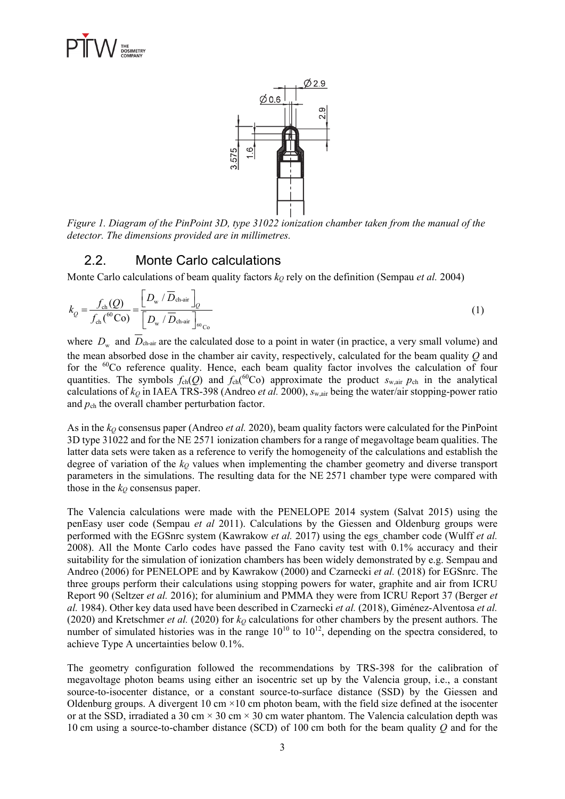



*Figure 1. Diagram of the PinPoint 3D, type 31022 ionization chamber taken from the manual of the detector. The dimensions provided are in millimetres.* 

#### 2.2. Monte Carlo calculations

Monte Carlo calculations of beam quality factors  $k<sub>Q</sub>$  rely on the definition (Sempau *et al.* 2004)

$$
k_{Q} = \frac{f_{\text{ch}}(Q)}{f_{\text{ch}}(^{60}\text{Co})} = \frac{\left[D_{\text{w}} / \overline{D}_{\text{ch-air}}\right]_{Q}}{\left[D_{\text{w}} / \overline{D}_{\text{ch-air}}\right]_{\text{60}}}
$$
(1)

where  $D_w$  and  $\overline{D}_{\text{char}}$  are the calculated dose to a point in water (in practice, a very small volume) and the mean absorbed dose in the chamber air cavity, respectively, calculated for the beam quality *Q* and for the <sup>60</sup>Co reference quality. Hence, each beam quality factor involves the calculation of four quantities. The symbols  $f_{ch}(Q)$  and  $f_{ch}(^{60}Co)$  approximate the product  $s_{w,air}$   $p_{ch}$  in the analytical calculations of *kQ* in IAEA TRS-398 (Andreo *et al.* 2000), *s*w,air being the water/air stopping-power ratio and  $p_{ch}$  the overall chamber perturbation factor.

As in the *kQ* consensus paper (Andreo *et al.* 2020), beam quality factors were calculated for the PinPoint 3D type 31022 and for the NE 2571 ionization chambers for a range of megavoltage beam qualities. The latter data sets were taken as a reference to verify the homogeneity of the calculations and establish the degree of variation of the  $k<sub>Q</sub>$  values when implementing the chamber geometry and diverse transport parameters in the simulations. The resulting data for the NE 2571 chamber type were compared with those in the  $k<sub>Q</sub>$  consensus paper.

The Valencia calculations were made with the PENELOPE 2014 system (Salvat 2015) using the penEasy user code (Sempau *et al* 2011). Calculations by the Giessen and Oldenburg groups were performed with the EGSnrc system (Kawrakow *et al.* 2017) using the egs\_chamber code (Wulff *et al.* 2008). All the Monte Carlo codes have passed the Fano cavity test with 0.1% accuracy and their suitability for the simulation of ionization chambers has been widely demonstrated by e.g. Sempau and Andreo (2006) for PENELOPE and by Kawrakow (2000) and Czarnecki *et al.* (2018) for EGSnrc. The three groups perform their calculations using stopping powers for water, graphite and air from ICRU Report 90 (Seltzer *et al.* 2016); for aluminium and PMMA they were from ICRU Report 37 (Berger *et al.* 1984). Other key data used have been described in Czarnecki *et al.* (2018), Giménez-Alventosa *et al.* (2020) and Kretschmer *et al.* (2020) for  $k<sub>Q</sub>$  calculations for other chambers by the present authors. The number of simulated histories was in the range  $10^{10}$  to  $10^{12}$ , depending on the spectra considered, to achieve Type A uncertainties below 0.1%.

The geometry configuration followed the recommendations by TRS-398 for the calibration of megavoltage photon beams using either an isocentric set up by the Valencia group, i.e., a constant source-to-isocenter distance, or a constant source-to-surface distance (SSD) by the Giessen and Oldenburg groups. A divergent 10 cm  $\times$ 10 cm photon beam, with the field size defined at the isocenter or at the SSD, irradiated a 30 cm  $\times$  30 cm  $\times$  30 cm water phantom. The Valencia calculation depth was 10 cm using a source-to-chamber distance (SCD) of 100 cm both for the beam quality *Q* and for the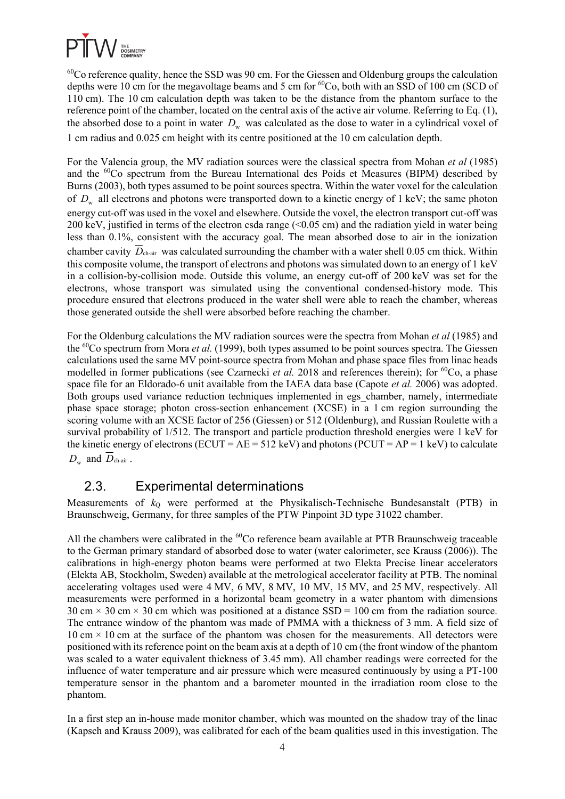

 $^{60}$ Co reference quality, hence the SSD was 90 cm. For the Giessen and Oldenburg groups the calculation depths were 10 cm for the megavoltage beams and 5 cm for <sup>60</sup>Co, both with an SSD of 100 cm (SCD of 110 cm). The 10 cm calculation depth was taken to be the distance from the phantom surface to the reference point of the chamber, located on the central axis of the active air volume. Referring to Eq. (1), the absorbed dose to a point in water  $D_w$  was calculated as the dose to water in a cylindrical voxel of 1 cm radius and 0.025 cm height with its centre positioned at the 10 cm calculation depth.

For the Valencia group, the MV radiation sources were the classical spectra from Mohan *et al* (1985) and the 60Co spectrum from the Bureau International des Poids et Measures (BIPM) described by Burns (2003), both types assumed to be point sources spectra. Within the water voxel for the calculation of  $D_w$  all electrons and photons were transported down to a kinetic energy of 1 keV; the same photon energy cut-off was used in the voxel and elsewhere. Outside the voxel, the electron transport cut-off was 200 keV, justified in terms of the electron csda range (<0.05 cm) and the radiation yield in water being less than 0.1%, consistent with the accuracy goal. The mean absorbed dose to air in the ionization chamber cavity  $\overline{D}_{\text{char}}$  was calculated surrounding the chamber with a water shell 0.05 cm thick. Within this composite volume, the transport of electrons and photons was simulated down to an energy of 1 keV in a collision-by-collision mode. Outside this volume, an energy cut-off of 200 keV was set for the electrons, whose transport was simulated using the conventional condensed-history mode. This procedure ensured that electrons produced in the water shell were able to reach the chamber, whereas those generated outside the shell were absorbed before reaching the chamber.

For the Oldenburg calculations the MV radiation sources were the spectra from Mohan *et al* (1985) and the 60Co spectrum from Mora *et al.* (1999), both types assumed to be point sources spectra. The Giessen calculations used the same MV point-source spectra from Mohan and phase space files from linac heads modelled in former publications (see Czarnecki *et al.* 2018 and references therein); for <sup>60</sup>Co, a phase space file for an Eldorado-6 unit available from the IAEA data base (Capote *et al.* 2006) was adopted. Both groups used variance reduction techniques implemented in egs\_chamber, namely, intermediate phase space storage; photon cross-section enhancement (XCSE) in a 1 cm region surrounding the scoring volume with an XCSE factor of 256 (Giessen) or 512 (Oldenburg), and Russian Roulette with a survival probability of 1/512. The transport and particle production threshold energies were 1 keV for the kinetic energy of electrons (ECUT =  $AE = 512$  keV) and photons (PCUT =  $AP = 1$  keV) to calculate  $D_{\rm w}$  and  $D_{\rm ch-air}$ .

## 2.3. Experimental determinations

Measurements of  $k<sub>Q</sub>$  were performed at the Physikalisch-Technische Bundesanstalt (PTB) in Braunschweig, Germany, for three samples of the PTW Pinpoint 3D type 31022 chamber.

All the chambers were calibrated in the  ${}^{60}$ Co reference beam available at PTB Braunschweig traceable to the German primary standard of absorbed dose to water (water calorimeter, see Krauss (2006)). The calibrations in high-energy photon beams were performed at two Elekta Precise linear accelerators (Elekta AB, Stockholm, Sweden) available at the metrological accelerator facility at PTB. The nominal accelerating voltages used were 4 MV, 6 MV, 8 MV, 10 MV, 15 MV, and 25 MV, respectively. All measurements were performed in a horizontal beam geometry in a water phantom with dimensions 30 cm  $\times$  30 cm  $\times$  30 cm which was positioned at a distance SSD = 100 cm from the radiation source. The entrance window of the phantom was made of PMMA with a thickness of 3 mm. A field size of  $10 \text{ cm} \times 10 \text{ cm}$  at the surface of the phantom was chosen for the measurements. All detectors were positioned with its reference point on the beam axis at a depth of 10 cm (the front window of the phantom was scaled to a water equivalent thickness of 3.45 mm). All chamber readings were corrected for the influence of water temperature and air pressure which were measured continuously by using a PT-100 temperature sensor in the phantom and a barometer mounted in the irradiation room close to the phantom.

In a first step an in-house made monitor chamber, which was mounted on the shadow tray of the linac (Kapsch and Krauss 2009), was calibrated for each of the beam qualities used in this investigation. The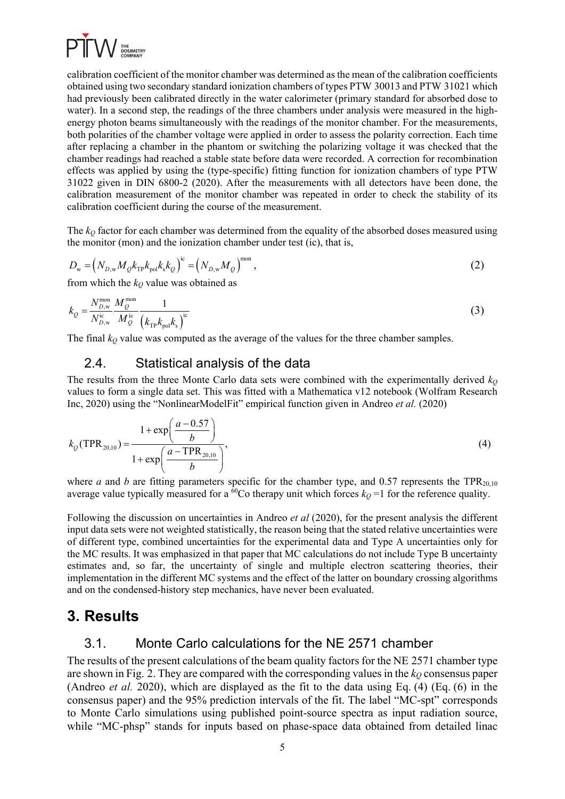

calibration coefficient of the monitor chamber was determined as the mean of the calibration coefficients obtained using two secondary standard ionization chambers of types PTW 30013 and PTW 31021 which had previously been calibrated directly in the water calorimeter (primary standard for absorbed dose to water). In a second step, the readings of the three chambers under analysis were measured in the highenergy photon beams simultaneously with the readings of the monitor chamber. For the measurements, both polarities of the chamber voltage were applied in order to assess the polarity correction. Each time after replacing a chamber in the phantom or switching the polarizing voltage it was checked that the chamber readings had reached a stable state before data were recorded. A correction for recombination effects was applied by using the (type-specific) fitting function for ionization chambers of type PTW 31022 given in DIN 6800-2 (2020). After the measurements with all detectors have been done, the calibration measurement of the monitor chamber was repeated in order to check the stability of its calibration coefficient during the course of the measurement.

The  $k<sub>Q</sub>$  factor for each chamber was determined from the equality of the absorbed doses measured using the monitor (mon) and the ionization chamber under test (ic), that is,

$$
D_{\rm w} = \left(N_{D, \rm w} M_{Q} k_{\rm TP} k_{\rm pol} k_{\rm s} k_{Q}\right)^{\rm ic} = \left(N_{D, \rm w} M_{Q}\right)^{\rm mon},\tag{2}
$$

from which the  $k_Q$  value was obtained as

$$
k_Q = \frac{N_{D,w}^{\text{mon}}}{N_{D,w}^{\text{ic}}} \frac{M_Q^{\text{mon}}}{M_Q^{\text{ic}}} \frac{1}{\left(k_{\text{TP}} k_{\text{pol}} k_s\right)^{\text{ic}}}
$$
(3)

The final  $k_0$  value was computed as the average of the values for the three chamber samples.

#### 2.4. Statistical analysis of the data

The results from the three Monte Carlo data sets were combined with the experimentally derived  $k<sub>Q</sub>$ values to form a single data set. This was fitted with a Mathematica v12 notebook (Wolfram Research Inc, 2020) using the "NonlinearModelFit" empirical function given in Andreo *et al.* (2020)

$$
k_Q(\text{TPR}_{20,10}) = \frac{1 + \exp\left(\frac{a - 0.57}{b}\right)}{1 + \exp\left(\frac{a - \text{TPR}_{20,10}}{b}\right)},
$$
(4)

where *a* and *b* are fitting parameters specific for the chamber type, and 0.57 represents the TPR<sub>20,10</sub> average value typically measured for a  $^{60}$ Co therapy unit which forces  $k<sub>O</sub> = 1$  for the reference quality.

Following the discussion on uncertainties in Andreo *et al* (2020), for the present analysis the different input data sets were not weighted statistically, the reason being that the stated relative uncertainties were of different type, combined uncertainties for the experimental data and Type A uncertainties only for the MC results. It was emphasized in that paper that MC calculations do not include Type B uncertainty estimates and, so far, the uncertainty of single and multiple electron scattering theories, their implementation in the different MC systems and the effect of the latter on boundary crossing algorithms and on the condensed-history step mechanics, have never been evaluated.

## **3. Results**

## 3.1. Monte Carlo calculations for the NE 2571 chamber

The results of the present calculations of the beam quality factors for the NE 2571 chamber type are shown in Fig. 2. They are compared with the corresponding values in the  $k<sub>O</sub>$  consensus paper (Andreo *et al.* 2020), which are displayed as the fit to the data using Eq. (4) (Eq. (6) in the consensus paper) and the 95% prediction intervals of the fit. The label "MC-spt" corresponds to Monte Carlo simulations using published point-source spectra as input radiation source, while "MC-phsp" stands for inputs based on phase-space data obtained from detailed linac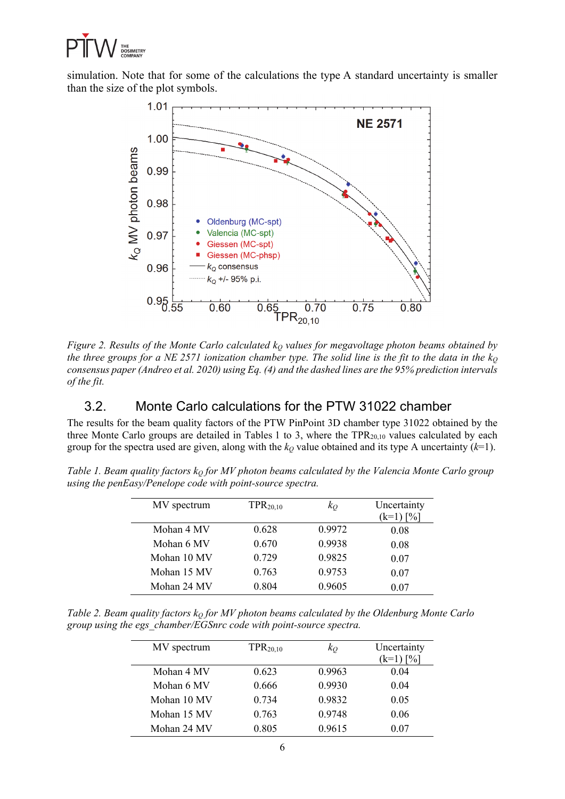

simulation. Note that for some of the calculations the type A standard uncertainty is smaller than the size of the plot symbols.



*Figure 2. Results of the Monte Carlo calculated k<sub>Q</sub> values for megavoltage photon beams obtained by the three groups for a NE 2571 ionization chamber type. The solid line is the fit to the data in the kQ consensus paper (Andreo et al. 2020) using Eq. (4) and the dashed lines are the 95% prediction intervals of the fit.* 

## 3.2. Monte Carlo calculations for the PTW 31022 chamber

The results for the beam quality factors of the PTW PinPoint 3D chamber type 31022 obtained by the three Monte Carlo groups are detailed in Tables 1 to 3, where the  $TPR_{20,10}$  values calculated by each group for the spectra used are given, along with the  $k_Q$  value obtained and its type A uncertainty  $(k=1)$ .

| Table 1. Beam quality factors $k_0$ for MV photon beams calculated by the Valencia Monte Carlo group |  |
|------------------------------------------------------------------------------------------------------|--|
| using the penEasy/Penelope code with point-source spectra.                                           |  |

| MV spectrum | $TPR_{20,10}$ | $k_O$  | Uncertainty<br>(k=1) [%] |
|-------------|---------------|--------|--------------------------|
| Mohan 4 MV  | 0.628         | 0.9972 | 0.08                     |
| Mohan 6 MV  | 0.670         | 0.9938 | 0.08                     |
| Mohan 10 MV | 0.729         | 0.9825 | 0.07                     |
| Mohan 15 MV | 0.763         | 0.9753 | 0.07                     |
| Mohan 24 MV | 0.804         | 0.9605 | 0.07                     |

*Table 2. Beam quality factors k<sub>0</sub> for MV photon beams calculated by the Oldenburg Monte Carlo group using the egs\_chamber/EGSnrc code with point-source spectra.* 

| MV spectrum | $TPR_{20,10}$ | $k_O$  | Uncertainty<br>$(k=1)$ [%] |
|-------------|---------------|--------|----------------------------|
| Mohan 4 MV  | 0.623         | 0.9963 | 0.04                       |
| Mohan 6 MV  | 0.666         | 0.9930 | 0.04                       |
| Mohan 10 MV | 0.734         | 0.9832 | 0.05                       |
| Mohan 15 MV | 0.763         | 0.9748 | 0.06                       |
| Mohan 24 MV | 0.805         | 0.9615 | 0.07                       |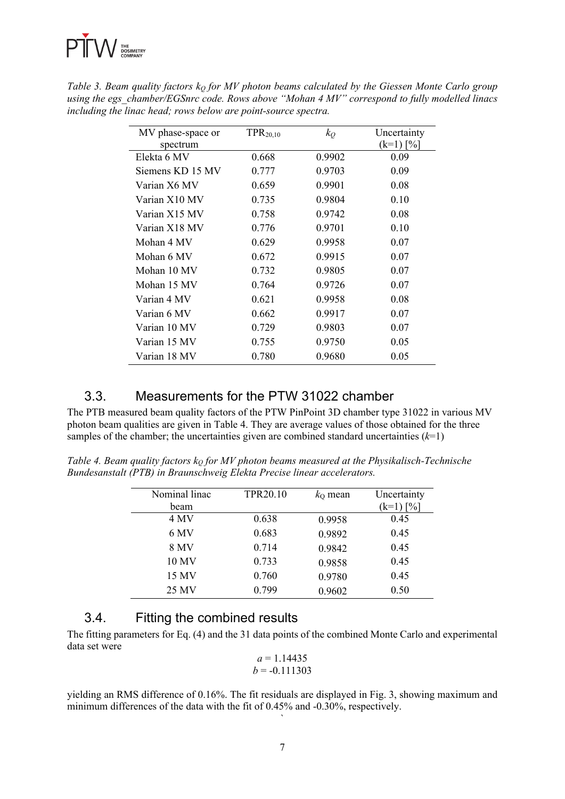

| MV phase-space or | TPR <sub>20,10</sub> | $k_O$  | Uncertainty |
|-------------------|----------------------|--------|-------------|
| spectrum          |                      |        | $(k=1)$ [%] |
| Elekta 6 MV       | 0.668                | 0.9902 | 0.09        |
| Siemens KD 15 MV  | 0.777                | 0.9703 | 0.09        |
| Varian X6 MV      | 0.659                | 0.9901 | 0.08        |
| Varian X10 MV     | 0.735                | 0.9804 | 0.10        |
| Varian X15 MV     | 0.758                | 0.9742 | 0.08        |
| Varian X18 MV     | 0.776                | 0.9701 | 0.10        |
| Mohan 4 MV        | 0.629                | 0.9958 | 0.07        |
| Mohan 6 MV        | 0.672                | 0.9915 | 0.07        |
| Mohan 10 MV       | 0.732                | 0.9805 | 0.07        |
| Mohan 15 MV       | 0.764                | 0.9726 | 0.07        |
| Varian 4 MV       | 0.621                | 0.9958 | 0.08        |
| Varian 6 MV       | 0.662                | 0.9917 | 0.07        |
| Varian 10 MV      | 0.729                | 0.9803 | 0.07        |
| Varian 15 MV      | 0.755                | 0.9750 | 0.05        |
| Varian 18 MV      | 0.780                | 0.9680 | 0.05        |

*Table 3. Beam quality factors k<sub>0</sub> for MV photon beams calculated by the Giessen Monte Carlo group using the egs\_chamber/EGSnrc code. Rows above "Mohan 4 MV" correspond to fully modelled linacs including the linac head; rows below are point-source spectra.* 

### 3.3. Measurements for the PTW 31022 chamber

The PTB measured beam quality factors of the PTW PinPoint 3D chamber type 31022 in various MV photon beam qualities are given in Table 4. They are average values of those obtained for the three samples of the chamber; the uncertainties given are combined standard uncertainties  $(k=1)$ 

*Table 4. Beam quality factors k<sub>0</sub> for MV photon beams measured at the Physikalisch-Technische Bundesanstalt (PTB) in Braunschweig Elekta Precise linear accelerators.* 

| Nominal linac | TPR20.10 | $k_0$ mean | Uncertainty |
|---------------|----------|------------|-------------|
| beam          |          |            | $(k=1)$ [%] |
| 4 MV          | 0.638    | 0.9958     | 0.45        |
| 6 MV          | 0.683    | 0.9892     | 0.45        |
| 8 MV          | 0.714    | 0.9842     | 0.45        |
| 10 MV         | 0.733    | 0.9858     | 0.45        |
| 15 MV         | 0.760    | 0.9780     | 0.45        |
| 25 MV         | 0.799    | 0.9602     | 0.50        |
|               |          |            |             |

#### 3.4. Fitting the combined results

The fitting parameters for Eq. (4) and the 31 data points of the combined Monte Carlo and experimental data set were *a* = 1.14435

$$
a = 1.14435b = -0.111303
$$

yielding an RMS difference of 0.16%. The fit residuals are displayed in Fig. 3, showing maximum and minimum differences of the data with the fit of 0.45% and -0.30%, respectively. `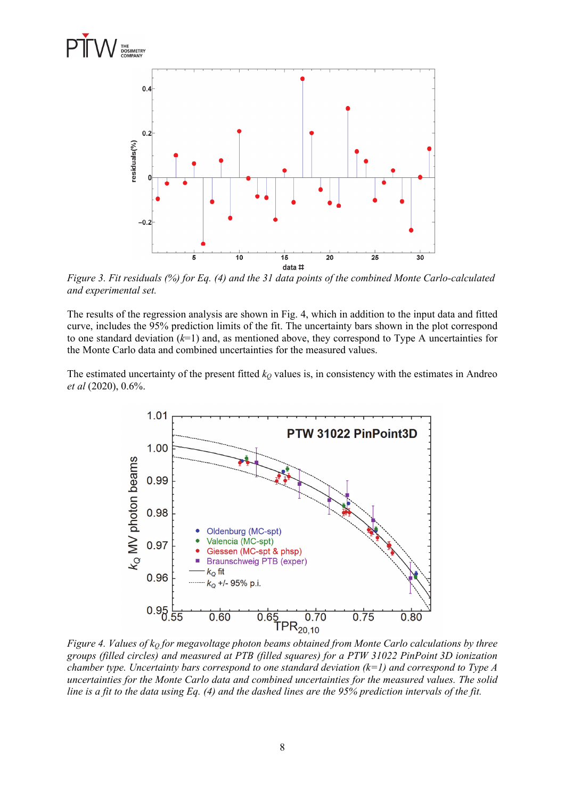



*Figure 3. Fit residuals (%) for Eq. (4) and the 31 data points of the combined Monte Carlo-calculated and experimental set.* 

The results of the regression analysis are shown in Fig. 4, which in addition to the input data and fitted curve, includes the 95% prediction limits of the fit. The uncertainty bars shown in the plot correspond to one standard deviation (*k*=1) and, as mentioned above, they correspond to Type A uncertainties for the Monte Carlo data and combined uncertainties for the measured values.

The estimated uncertainty of the present fitted  $k<sub>O</sub>$  values is, in consistency with the estimates in Andreo *et al* (2020), 0.6%.



*Figure 4. Values of k<sub>Q</sub> for megavoltage photon beams obtained from Monte Carlo calculations by three groups (filled circles) and measured at PTB (filled squares) for a PTW 31022 PinPoint 3D ionization chamber type. Uncertainty bars correspond to one standard deviation (k=1) and correspond to Type A uncertainties for the Monte Carlo data and combined uncertainties for the measured values. The solid line is a fit to the data using Eq. (4) and the dashed lines are the 95% prediction intervals of the fit.*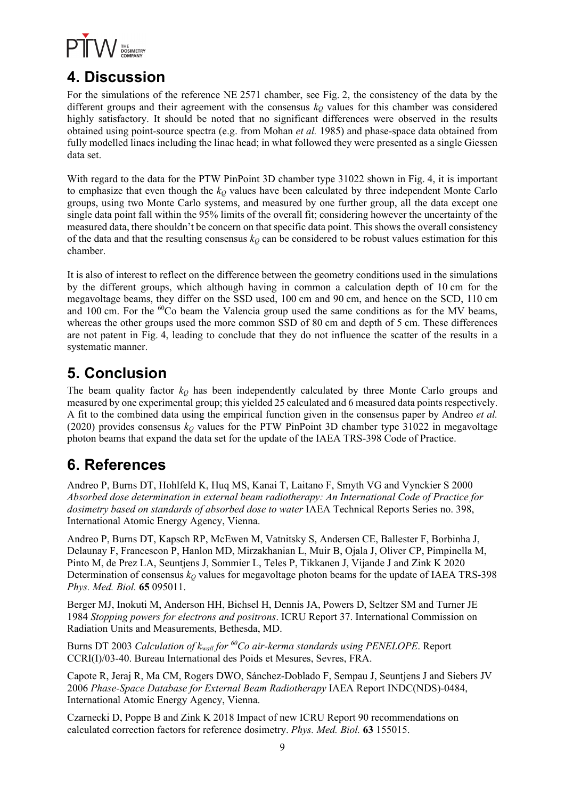

## **4. Discussion**

For the simulations of the reference NE 2571 chamber, see Fig. 2, the consistency of the data by the different groups and their agreement with the consensus  $k<sub>Q</sub>$  values for this chamber was considered highly satisfactory. It should be noted that no significant differences were observed in the results obtained using point-source spectra (e.g. from Mohan *et al.* 1985) and phase-space data obtained from fully modelled linacs including the linac head; in what followed they were presented as a single Giessen data set.

With regard to the data for the PTW PinPoint 3D chamber type 31022 shown in Fig. 4, it is important to emphasize that even though the  $k<sub>Q</sub>$  values have been calculated by three independent Monte Carlo groups, using two Monte Carlo systems, and measured by one further group, all the data except one single data point fall within the 95% limits of the overall fit; considering however the uncertainty of the measured data, there shouldn't be concern on that specific data point. This shows the overall consistency of the data and that the resulting consensus  $k_Q$  can be considered to be robust values estimation for this chamber.

It is also of interest to reflect on the difference between the geometry conditions used in the simulations by the different groups, which although having in common a calculation depth of 10 cm for the megavoltage beams, they differ on the SSD used, 100 cm and 90 cm, and hence on the SCD, 110 cm and 100 cm. For the  ${}^{60}Co$  beam the Valencia group used the same conditions as for the MV beams, whereas the other groups used the more common SSD of 80 cm and depth of 5 cm. These differences are not patent in Fig. 4, leading to conclude that they do not influence the scatter of the results in a systematic manner.

# **5. Conclusion**

The beam quality factor  $k_Q$  has been independently calculated by three Monte Carlo groups and measured by one experimental group; this yielded 25 calculated and 6 measured data points respectively. A fit to the combined data using the empirical function given in the consensus paper by Andreo *et al.* (2020) provides consensus  $k_Q$  values for the PTW PinPoint 3D chamber type 31022 in megavoltage photon beams that expand the data set for the update of the IAEA TRS-398 Code of Practice.

# **6. References**

Andreo P, Burns DT, Hohlfeld K, Huq MS, Kanai T, Laitano F, Smyth VG and Vynckier S 2000 *Absorbed dose determination in external beam radiotherapy: An International Code of Practice for dosimetry based on standards of absorbed dose to water* IAEA Technical Reports Series no. 398, International Atomic Energy Agency, Vienna.

Andreo P, Burns DT, Kapsch RP, McEwen M, Vatnitsky S, Andersen CE, Ballester F, Borbinha J, Delaunay F, Francescon P, Hanlon MD, Mirzakhanian L, Muir B, Ojala J, Oliver CP, Pimpinella M, Pinto M, de Prez LA, Seuntjens J, Sommier L, Teles P, Tikkanen J, Vijande J and Zink K 2020 Determination of consensus  $k_Q$  values for megavoltage photon beams for the update of IAEA TRS-398 *Phys. Med. Biol.* **65** 095011.

Berger MJ, Inokuti M, Anderson HH, Bichsel H, Dennis JA, Powers D, Seltzer SM and Turner JE 1984 *Stopping powers for electrons and positrons*. ICRU Report 37. International Commission on Radiation Units and Measurements, Bethesda, MD.

Burns DT 2003 *Calculation of kwall for 60Co air-kerma standards using PENELOPE*. Report CCRI(I)/03-40. Bureau International des Poids et Mesures, Sevres, FRA.

Capote R, Jeraj R, Ma CM, Rogers DWO, Sánchez-Doblado F, Sempau J, Seuntjens J and Siebers JV 2006 *Phase-Space Database for External Beam Radiotherapy* IAEA Report INDC(NDS)-0484, International Atomic Energy Agency, Vienna.

Czarnecki D, Poppe B and Zink K 2018 Impact of new ICRU Report 90 recommendations on calculated correction factors for reference dosimetry. *Phys. Med. Biol.* **63** 155015.